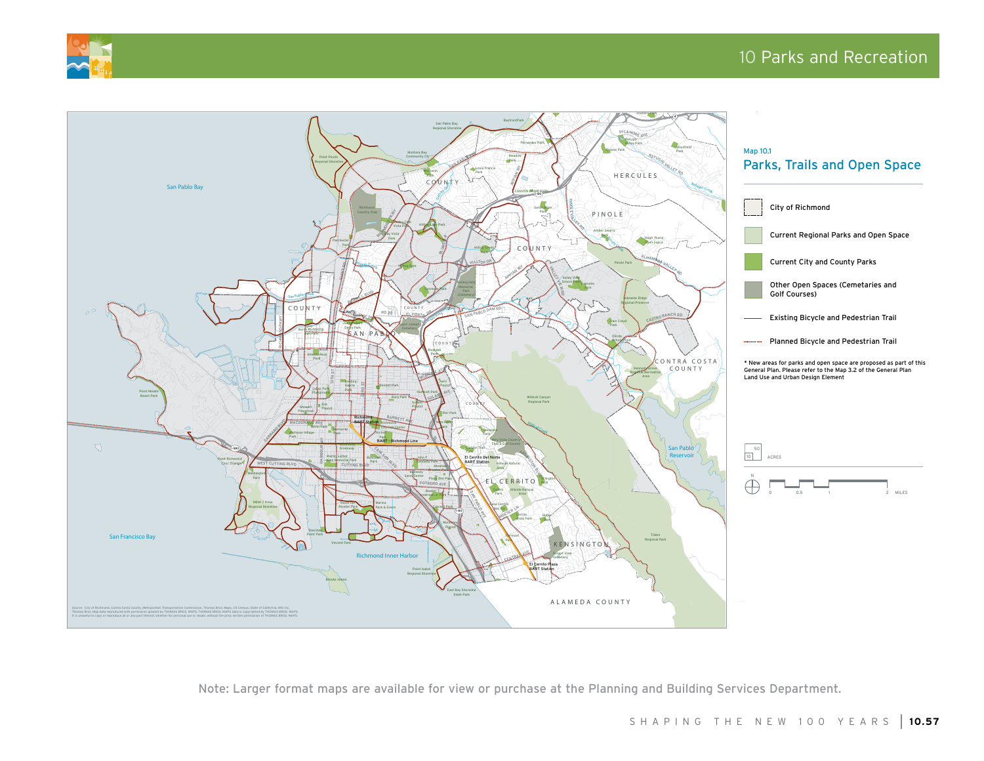



Note: Larger format maps are available for view or purchase at the Planning and Building Services Department.